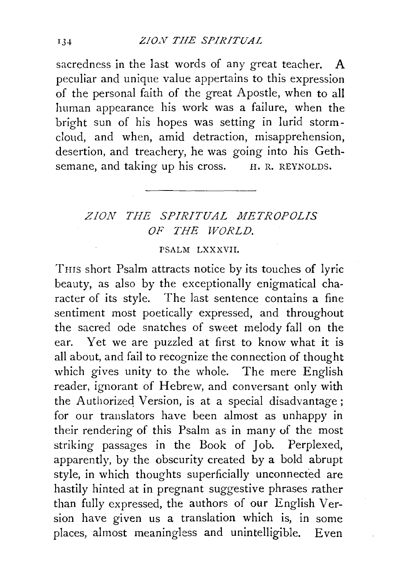sacredness in the last words of any great teacher. A peculiar and unique value appertains to this expression of the personal faith of the great Apostle, when to all human appearance his work was a failure, when the bright sun of his hopes was setting in lurid stormcloud, and when, amid detraction, misapprehension, desertion, and treachery, he was going into his Gethsemane, and taking up his cross. H. R. REYNOLDS.

## *ZION THE SPIRITUAL METROPOLIS OF THE WORLD.*

## PSALM LXXXVII.

THIS short Psalm attracts notice by its touches of lyric beauty, as also by the exceptionally enigmatical character of its style. The last sentence contains a fine sentiment most poetically expressed, and throughout the sacred ode snatches of sweet melody fall on the ear. Yet we are puzzled at first to know what it is all about, and fail to recognize the connection of thought which gives unity to the whole. The mere English reader, ignorant of Hebrew, and conversant only with the Authorized Version, is at a special disadvantage; for our translators have been almost as unhappy in their rendering of this Psalm as in many of the most striking passages in the Book of Job. Perplexed, apparently, by the obscurity created by a bold abrupt style, in which thoughts superficially unconnected are hastily hinted at in pregnant suggestive phrases rather than fully expressed, the authors of our English Version have given us a translation which is, in some places, almost meaningless and unintelligible. Even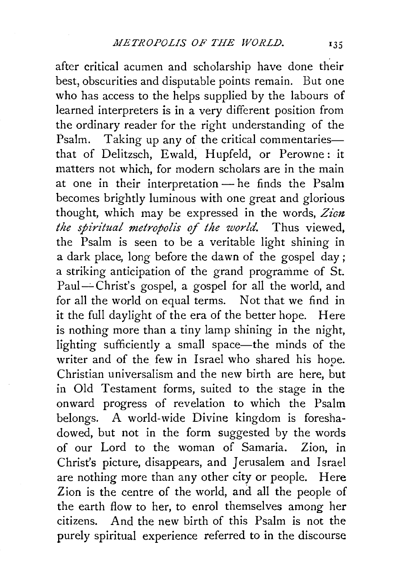after critical acumen and scholarship have done their best, obscurities and disputable points remain. But one who has access to the helps supplied by the labours of learned interpreters is in a very different position from the ordinary reader for the right understanding of the Psalm. Taking up any of the critical commentariesthat of Delitzsch, Ewald, Hupfeld, or Perowne: it matters not which, for modern scholars are in the main at one in their interpretation  $-$  he finds the Psalm becomes brightly luminous with one great and glorious thought, which may be expressed in the words, *Zian. the spiritual metropolis of the world.* Thus viewed, the Psalm is seen to be a veritable light shining in a dark place, long before the dawn of the gospel day; a striking anticipation of the grand programme of St. Paul—Christ's gospel, a gospel for all the world, and for all the world on equal terms. Not that we find in it the full daylight of the era of the better hope. Here is nothing more than a tiny lamp shining in the night, lighting sufficiently a small space—the minds of the writer and of the few in Israel who shared his hope. Christian universalism and the new birth are here, but in Old Testament forms, suited to the stage in the onward progress of revelation to which the Psalm belongs. A world-wide Divine kingdom is foreshadowed, but not in the form suggested by the words of our Lord to the woman of Samaria. Zion, in Christ's picture, disappears, and Jerusalem and Israel are nothing more than any other city or people. Here Zion is the centre of the world, and all the people of the earth flow to her, to enrol themselves among her citizens. And the new birth of this Psalm is not the purely spiritual experience referred to in the discourse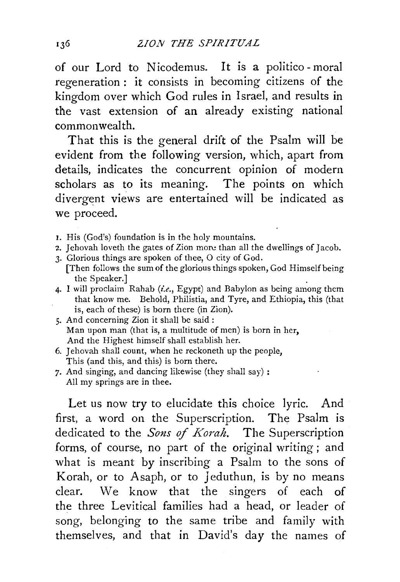of our Lord *to* Nicodemus. It is a politico - moral regeneration : it consists in becoming citizens of the kingdom over which God rules in Israel, and results in the vast extension of an already existing national commonwealth.

That this is the general drift of the Psalm will be evident from the following version, which, apart from details, indicates the concurrent opinion of modern scholars as to its meaning. The points on which divergent views are entertained will be indicated as we proceed.

- I. His (God's) foundation is in the holy mountains.
- 2. Jehovah loveth the gates of Zion more than all the dwellings of Jacob.
- 3. Glorious things are spoken of thee, 0 city of God. [Then follows the sum of the glorious things spoken, God Himself being the Speaker.]
- 4. I will proclaim Rahab *(i.e.,* Egypt) and Babylon as being among them that know me. Behold, Philistia, and Tyre, and Ethiopia, this (that is, each of these) is born there (in Zion).
- 5. And concerning Zion it shall be said : Man upon man (that is, a multitude of men) is born in her, And the Highest himself shall establish her.
- 6. Jehovah shall count, when he reckoneth up the people, This (and this, and this) is born there.
- *7.* And singing, and dancing likewise (they shall say) : All my springs are in thee.

Let us now try to elucidate this choice lyric. And first, a word on the Superscription. The Psalm is dedicated to the *Sons of Korah.* The Superscription forms, of course, no part of the original writing ; and what is meant by inscribing a Psalm to the sons of Korah, or to Asaph, or to Jeduthun, is by no means clear. We know that the singers of each of the three Levitical families had a head, or leader of song, belonging to the same tribe and family with themselves, and that in David's day the names of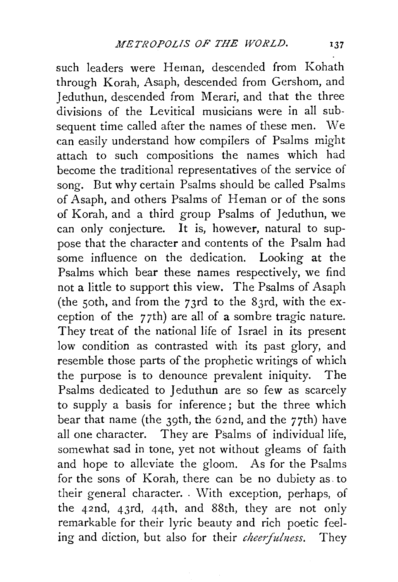such leaders were Heman, descended from Kohath through Korah, Asaph, descended from Gershom, and Jeduthun, descended from Merari, and that the three divisions of the Levitical musicians were in all subsequent time called after the names of these men. We can easily understand how compilers of Psalms might attach to such compositions the names which had become the traditional representatives of the service of song. But why certain Psalms should be called Psalms of Asaph, and others Psalms of Heman or of the sons of Korah, and a third group Psalms of Jeduthun, we can only conjecture. It is, however, natural to suppose that the character and contents of the Psalm had some influence on the dedication. Looking at the Psalms which bear these names respectively, we find not a little to support this view. The Psalms of Asaph (the 5oth, and from the 73rd to the 83rd, with the exception of the 77th) are all of a sombre tragic nature. They treat of the national life of Israel in its present low condition as contrasted with its past glory, and resemble those parts of the prophetic writings of which the purpose is to denounce prevalent iniquity. The Psalms dedicated to Jeduthun are so few as scarcely to supply a basis for inference; but the three which bear that name (the 39th, the 62nd, and the 77th) have all one character. They are Psalms of individual life, somewhat sad in tone, yet not without gleams of faith and hope to alleviate the gloom. As for the Psalms for the sons of Korab, there can be no dubiety as. to their general character. With exception, perhaps, of the 42nd, 43rd, 44th, and 88th, they are not only remarkable for their lyric beauty and rich poetic feeling and diction, but also for their *cheerfulness*. They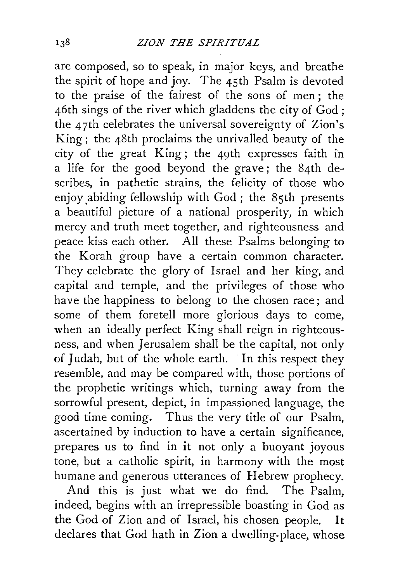are composed, so to speak, in major keys, and breathe the spirit of hope and joy. The 45th Psalm is devoted to the praise of the fairest of the sons of men; the 46th sings of the river which gladdens the city of God; the 47th celebrates the universal sovereignty of Zion's King; the 48th proclaims the unrivalled beauty of the city of the great King; the 49th expresses faith in a life for the good beyond the grave; the 84th describes, in pathetic strains, the felicity of those who enjoy abiding fellowship with God; the 85th presents a beautiful picture of a national prosperity, in which mercy and truth meet together, and righteousness and peace kiss each other. All these Psalms belonging to the Korab group have a certain common character. They celebrate the glory of Israel and her king, and capital and temple, and the privileges of those who have the happiness to belong to the chosen race; and some of them foretell more glorious days to come, when an ideally perfect King shall reign in righteousness, and when Jerusalem shall be the capital, not only of Judah, but of the whole earth. In this respect they resemble, and may be compared with, those portions of the prophetic writings which, turning away from the sorrowful present, depict, in impassioned language, the good time coming. Thus the very title of our Psalm, ascertained by induction to have a certain significance, prepares us to find in it not only a buoyant joyous tone, but a catholic spirit, in harmony with the most humane and generous utterances of Hebrew prophecy.

And this is just what we do find. The Psalm, indeed, begins with an irrepressible boasting in God as the God of Zion and of Israel, his chosen people. It declares that God hath in Zion a dwelling-place, whose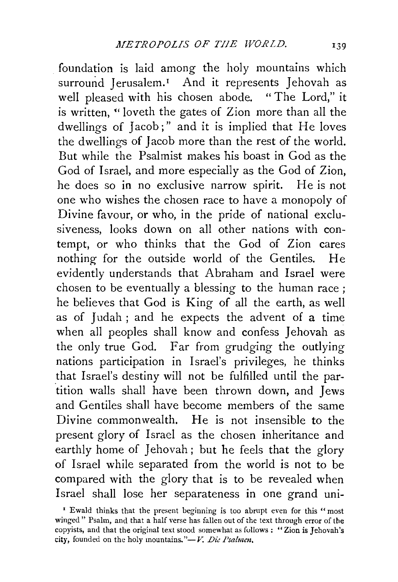foundation is laid among the holy mountains which surround Jerusalem.<sup>1</sup> And it represents Jehovah as well pleased with his chosen abode. " The Lord," it is written, " loveth the gates of Zion more than all the dwellings of Jacob;" and it is implied that He loves the dwellings of Jacob more than the rest of the world. But while the Psalmist makes his boast in God as the God of Israel, and more especially as the God of Zion, he does so in no exclusive narrow spirit. He is not one who wishes the chosen race to have a monopoly of Divine favour, or who, in the pride of national exclusiveness, looks down on all other nations with contempt, or who thinks that the God of Zion cares nothing for the outside world of the Gentiles. He evidently understands that Abraham and Israel were chosen to be eventually a blessing to the human race ; he believes that God is King of all the earth, as well as of Judah ; and he expects the advent of a time when all peoples shall know and confess Jehovah as the only true God. Far from grudging the outlying nations participation in Israel's privileges, he thinks that Israel's destiny will not be fulfilled until the par tition walls shall have been thrown down, and Jews and Gentiles shall have become members of the same Divine commonwealth. He is not insensible to the present glory of Israel as the chosen inheritance and earthly home of Jehovah ; but he feels that the glory of Israel while separated from the world is not to be compared with the glory that is to be revealed when Israel shall lose her separateness in one grand uni-

<sup>&#</sup>x27; Ewald thinks that the present beginning is too abrupt even for this "most winged" Psalm, and that a half verse has fallen out of the text through error of the copyists, and that the original text stood somewhat as follows: "Zion is Jehovah's city, founded on the holy mountains."-V. Die Psalmen.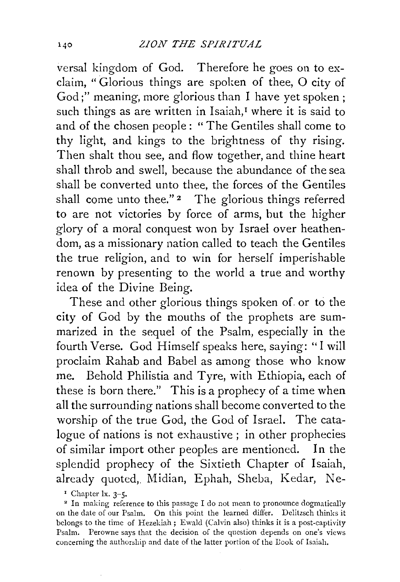versal kingdom of God. Therefore he goes on to exclaim, "Glorious things are spoken of thee, 0 city of God;" meaning, more glorious than I have yet spoken ; such things as are written in Isaiah,<sup>I</sup> where it is said to and of the chosen people : "The Gentiles shall come to thy light, and kings to the brightness of thy rising. Then shalt thou see, and flow together, and thine heart shall throb and swell, because the abundance of the sea shall be converted unto thee, the forces of the Gentiles shall come unto thee." $2$  The glorious things referred to are not victories by force of arms, but the higher glory of a moral conquest won by Israel over heathendom, as a missionary nation called to teach the Gentiles the true religion, and to win for herself imperishable renown by presenting to the world a true and worthy idea of the Divine Being.

These and other glorious things spoken of. or to the city of God by the mouths of the prophets are summarized in the sequel of the Psalm, especially in the fourth Verse. God Himself speaks here, saying: " I will proclaim Rahab and Babel as among those who know me. Behold Philistia and Tyre, with Ethiopia, each of these is born there." This is a prophecy of a time when all the surrounding nations shall become converted to the worship of the true God, the God of Israel. The catalogue of nations is not exhaustive; in other prophecies of similar import other peoples are mentioned. In the splendid prophecy of the Sixtieth Chapter of Isaiah, already quoted, Midian, Ephah, Sheba, Kedar, Ne-

<sup>1</sup> Chapter 1x. 3-5.<br><sup>2</sup> In making reference to this passage I do not mean to pronounce dogmatically on the date of our Psalm. On this point the learned differ. Delitzsch thinks it belongs to the time of Hezekiah; Ewald (Calvin also) thinks it is a post-captivity Psalm. Perowne says that the decision of the question depends on one's views concerning the authorship and date of the latter portion of the Book of Isaiah.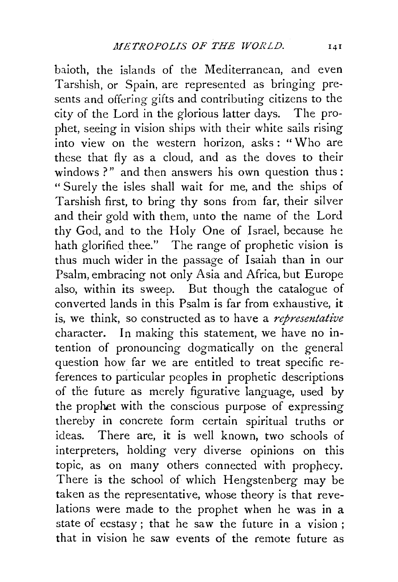baioth, the islands of the Mediterranean, and even Tarshish, or Spain, are represented as bringing presents and offering gifts and contributing citizens to the city of the Lord in the glorious latter days. The prophet, seeing in vision ships with their white sails rising into view on the western horizon, asks : " Who are these that fly as a cloud, and as the doves to their windows ?" and then answers his own question thus: "Surely the isles shall wait for me, and the ships of Tarshish first, to bring thy sons from far, their silver and their gold with them, unto the name of the Lord thy God, and to the Holy One of Israel, because he hath glorified thee." The range of prophetic vision is thus much wider in the passage of Isaiah than in our Psalm, embracing not only Asia and Africa, but Europe also, within its sweep. But though the catalogue of converted lands in this Psalm is far from exhaustive, it is, we think, so constructed as to have a *representative*  character. In making this statement, we have no intention of pronouncing dogmatically on the general question how far we are entitled to treat specific references to particular peoples in prophetic descriptions of the future as merely figurative language, used by the prophet with the conscious purpose of expressing thereby in concrete form certain spiritual truths or ideas. There are, it is well known, two schools of interpreters, holding very diverse opinions on this topic, as on many others connected with prophecy. There is the school of which Hengstenberg may be taken as the representative, whose theory is that revelations were made to the prophet when he was in a state of ecstasy; that he saw the future in a vision ; that in vision he saw events of the remote future as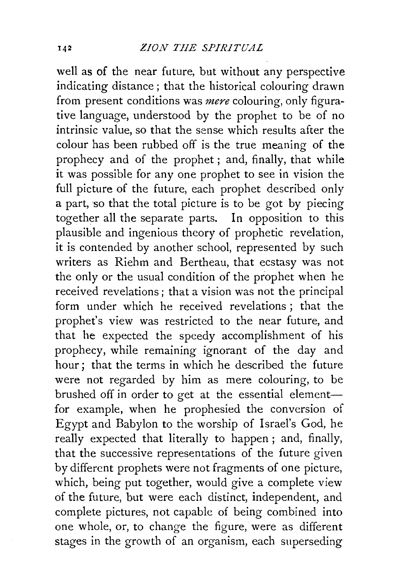well as of the near future, but without any perspective indicating distance; that the historical colouring drawn from present conditions was *mere* colouring, only figurative language, understood by the prophet to be of no intrinsic value, so that the sense which results after the colour has been rubbed off is the true meaning of the prophecy and of the prophet; and, finally, that while it was possible for any one prophet to see in vision the full picture of the future, each prophet described only a part, so that the total picture is to be got by piecing together all the separate parts. In opposition to this plausible and ingenious theory of prophetic revelation, it is contended by another school, represented by such writers as Riehm and Bertheau, that ecstasy was not the only or the usual condition of the prophet when he received revelations; that a vision was not the principal form under which he received revelations ; that the prophet's view was restricted to the near future, and that he expected the speedy accomplishment of his prophecy, while remaining ignorant of the day and hour; that the terms in which he described the future were not regarded by him as mere colouring, to be brushed off in order to get at the essential elementfor example, when he prophesied the conversion of Egypt and Babylon to the worship of Israel's God, he really expected that literally to happen ; and, finally, that the successive representations of the future given by different prophets were not fragments of one picture, which, being put together, would give a complete view of the future, but were each distinct, independent, and complete pictures, not capable of being combined into one whole, or, to change the figure, were as different stages in the growth of an organism, each superseding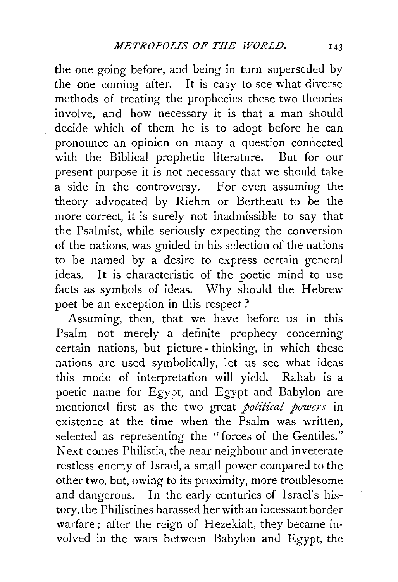the one going before, and being in turn superseded by the one coming after. It is easy to see what diverse methods of treating the prophecies these two theories involve, and how necessary it is that a man should decide which of them he is to adopt before he can pronounce an opinion on many a question connected with the Biblical prophetic literature. But for our present purpose it is not necessary that we should take a side in the controversy. For even assuming the theory advocated by Riehm or Bertheau to be the more correct, it is surely not inadmissible to say that the Psalmist, while seriously expecting the conversion of the nations, was guided in his selection of the nations to be named by a desire to express certain general ideas. It is characteristic of the poetic mind to use facts as symbols of ideas. Why should the Hebrew poet be an exception in this respect ?

Assuming, then, that we have before us in this Psalm not merely a definite prophecy concerning certain nations, but picture - thinking, in which these nations are used symbolically, let us see what ideas this mode of interpretation will yield. Rahab is a poetic name for Egypt, and Egypt and Babylon are mentioned first as the two great *political powers* in existence at the time when the Psalm was written, selected as representing the "forces of the Gentiles." Next comes Philistia, the near neighbour and inveterate restless enemy of Israel, a small power compared to the other two, but, owing to its proximity, more troublesome and dangerous. In the early centuries of Israel's history, the Philistines harassed her with an incessant border warfare; after the reign of Hezekiah, they became involved in the wars between Babylon and Egypt, the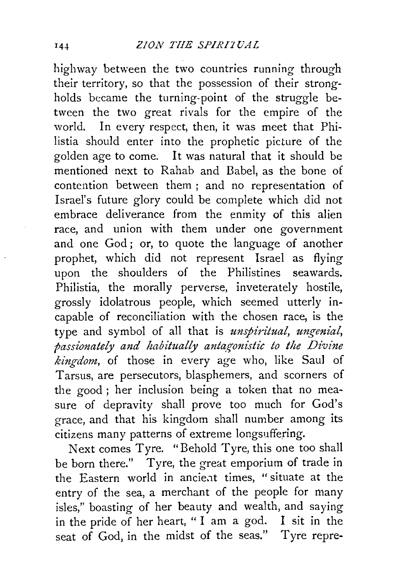highway between the two countries running through their territory, so that the possession of their strongholds became the turning-point of the struggle between the two great rivals for the empire of the world. In every respect, then, it was meet that Philistia should enter into the prophetic picture of the golden age to come. It was natural that it should be mentioned next to Rahab and Babel, as the bone of contention between them ; and no representation of Israel's future glory could be complete which did not embrace deliverance from the enmity of this alien race, and union with them under one government and one God; or, to quote the language of another prophet, which did not represent Israel as flying upon the shoulders of the Philistines seawards. Philistia, the morally perverse, inveterately hostile, grossly idolatrous people, which seemed utterly incapable of reconciliation with the chosen race, is the type and symbol of all that is *unspiritual, ungenial, passionately and habitually anta\_!{onistic to the Divine kingdom,* of those in every age who, like Saul of Tarsus, are persecutors, blasphemers, and scorners of the good; her inclusion being a token that no measure of depravity shall prove too much for God's grace, and that his kingdom shall number among its  $c$ itizens many patterns of extreme longsuffering.

Next comes Tyre. "Behold Tyre, this one too shall be born there." Tyre, the great emporium of trade in the Eastern world in ancient times, "situate at the entry of the sea, a merchant of the people for many isles," boasting of her beauty and wealth, and saying in the pride of her heart, " I am a god. I sit in the seat of God, in the midst of the seas." Tyre repre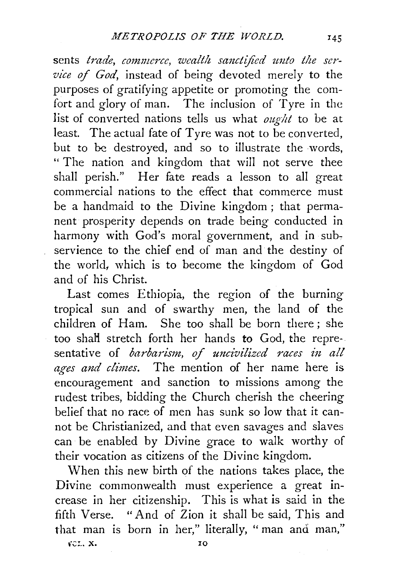sents *trade, commerce, wealth sanctified unto the service of God,* instead of being devoted merely to the purposes of gratifying appetite or promoting the comfort and glory of man. The inclusion of Tyre in the list of converted nations tells us what *ought* to be at least. The actual fate of Tyre was not to be converted, but to be destroyed, and so to illustrate the words, " The nation and kingdom that will not serve thee shall perish." Her fate reads a lesson to all great commercial nations to the effect that commerce must be a handmaid to the Divine kingdom ; that permanent prosperity depends on trade being conducted in harmony with God's moral government, and in subservience to the chief end of man and the destiny of the world, which is to become the kingdom of God and of his Christ.

Last comes Ethiopia, the region of the burning tropical sun and of swarthy men, the land of the children of Ham. She too shall be born there ; she too shaH stretch forth her hands *to* God, the representative of *barbarism, of uncivilized races in all ages and climes.* The mention of her name here is encouragement and sanction to missions among the rudest tribes, bidding the Church cherish the cheering belief that no race of men has sunk so low that it cannot be Christianized, and that even savages and slaves can be enabled by Divine grace to walk worthy of their vocation as citizens of the Divine kingdom.

When this new birth of the nations takes place, the Divine commonwealth must experience a great increase in her citizenship. This is what is said in the fifth Verse. "And of Zion it shall be said, This and that man is born in her," literally, "man and man,"

 $VCL, X.$  10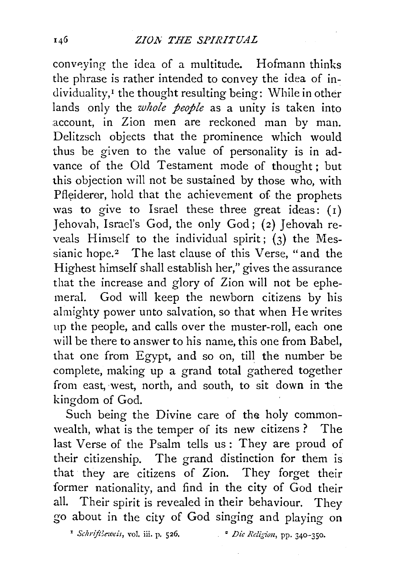conveying the idea of a multitude. Hofmann thinks the phrase is rather intended to convey the idea of in dividuality,<sup>1</sup> the thought resulting being: While in other lands only the *whole people* as a unity is taken into account, in Zion men are reckoned man by man. Delitzsch objects that the prominence which would thus be given to the value of personality is in advance of the Old Testament mode of thought; but this objection will not be sustained by those who, with Pfleiderer, hold that the achievement of the prophets was to give to Israel these three great ideas: (1) Jehovah, Israel's God, the only God; (2) Jehovah reveals Himself to the individual spirit;  $(3)$  the Messianic hope.<sup>2</sup> The last clause of this Verse, "and the Highest himself shall establish her," gives the assurance that the increase and glory of Zion will not be ephemeral. God will keep the newborn citizens by his almighty power unto salvation, so that when He writes up the people, and calls over the muster-roll, each one will be there to answer to his name, this one from Babel, that one from Egypt, and so on, till the number be complete, making up a grand total gathered together from east, ·west, north, and south, to sit down in the kingdom of God.

Such being the Divine care of the holy commonwealth, what is the temper of its new citizens ? The last Verse of the Psalm tells us : They are proud of their citizenship. The grand distinction for them is that they are citizens of Zion. They forget their former nationality, and find in the city of God their all. Their spirit is revealed in their behaviour. They go about in the city of God singing and playing on

' *Schriflkzveis,* yo]. iii. p. 526, • *Die Religion,* pp. 340-350.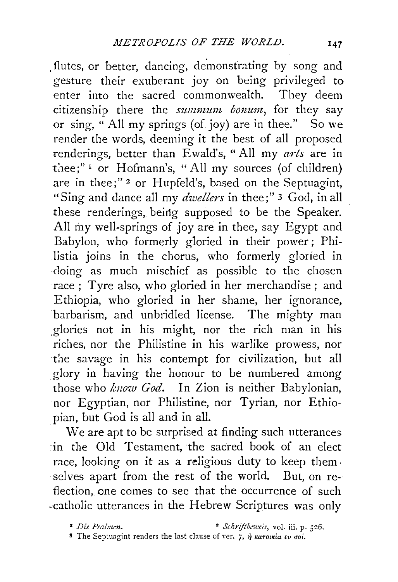. flutes, or better, dancing, demonstrating by song and gesture their exuberant joy on being privileged to enter into the sacred commonwealth. They deem citizenship there the *summum bonum*, for they say or sing, "All my springs (of joy) are in thee." So we render the words, deeming it the best of all proposed ;enderings, better than Ewald's, "All my *arts* are in thee;" $\frac{1}{1}$  or Hofmann's, "All my sources (of children) are in thee;"<sup>2</sup> or Hupfeld's, based on the Septuagint, "Sing and dance all my *dwellers* in thee;" 3 God, in all these renderings, being supposed to be the Speaker. All my well-springs of joy are in thee, say Egypt and Babylon, who formerly gloried in their power; Philistia joins in the chorus, who formerly gloried in doing as much mischief as possible to the chosen race; Tyre also, who gloried in her merchandise; and Ethiopia, who gloried in her shame, her ignorance, barbarism, and unbridled license. The mighty man ,glories not in his might, nor the rich man in his riches, nor the Philistine in his warlike prowess, nor the savage in his contempt for civilization, but all glory in having the honour to be numbered among those who *kuow God.* In Zion is neither Babylonian, nor Egyptian, nor Philistine, nor Tyrian, nor Ethiopian, but God is all and in all.

We are apt to be surprised at finding such utterances ~in the Old Testament, the sacred book of an elect race, looking on it as a religious duty to keep them. selves apart from the rest of the world. But, on reflection, one comes to see that the occurrence of such "catholic utterances in the Hebrew Scriptures was only

<sup>3</sup> The Septuagint renders the last clause of ver. 7,  $\dot{\eta}$  *karoukia Ev ooi*.

<sup>•</sup> *Die Psalmen.* 2 *Schriftbeweis,* vol. iii. p. *5z6.*